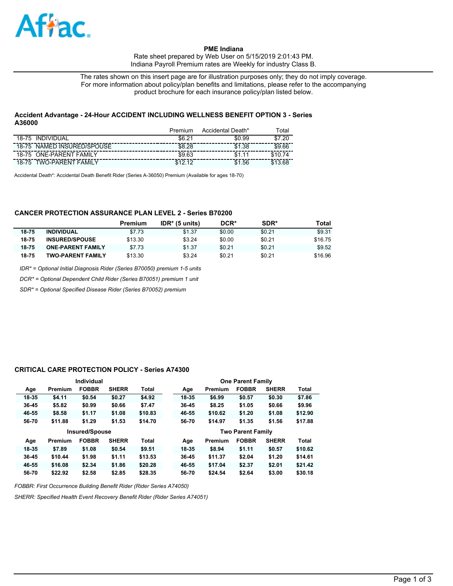

**PME Indiana**  Rate sheet prepared by Web User on 5/15/2019 2:01:43 PM. Indiana Payroll Premium rates are Weekly for industry Class B.

The rates shown on this insert page are for illustration purposes only; they do not imply coverage. For more information about policy/plan benefits and limitations, please refer to the accompanying product brochure for each insurance policy/plan listed below.

## **Accident Advantage - 24-Hour ACCIDENT INCLUDING WELLNESS BENEFIT OPTION 3 - Series A36000**

|                                       | Premium     | Accidental Death* | ™otal   |
|---------------------------------------|-------------|-------------------|---------|
| INDIVIDUAL<br>18-75                   | \$6.21      | \$0.99            | \$7.20  |
| 18-75 NAMED INSURED/SPOUSE            | \$8.28      | \$1.38            | \$9.66  |
| 18-75 ONE-PARENT FAMILY               | \$9.63      | \$1               | \$1074  |
| <b>TWO-PARENT FAMILY</b><br>$18 - 75$ | \$12.<br>12 | .56<br>\$1        | \$13.68 |

Accidental Death\*: Accidental Death Benefit Rider (Series A-36050) Premium (Available for ages 18-70)

## **CANCER PROTECTION ASSURANCE PLAN LEVEL 2 - Series B70200**

|       |                          | Premium | $IDR*$ (5 units) | DCR*   | SDR*   | Total   |
|-------|--------------------------|---------|------------------|--------|--------|---------|
| 18-75 | <b>INDIVIDUAL</b>        | \$7.73  | \$1.37           | \$0.00 | \$0.21 | \$9.31  |
| 18-75 | <b>INSURED/SPOUSE</b>    | \$13.30 | \$3.24           | \$0.00 | \$0.21 | \$16.75 |
| 18-75 | <b>ONE-PARENT FAMILY</b> | \$7.73  | \$1.37           | \$0.21 | \$0.21 | \$9.52  |
| 18-75 | <b>TWO-PARENT FAMILY</b> | \$13.30 | \$3.24           | \$0.21 | \$0.21 | \$16.96 |

*IDR\* = Optional Initial Diagnosis Rider (Series B70050) premium 1-5 units*

*DCR\* = Optional Dependent Child Rider (Series B70051) premium 1 unit*

*SDR\* = Optional Specified Disease Rider (Series B70052) premium*

## **CRITICAL CARE PROTECTION POLICY - Series A74300**

| <b>Individual</b>     |         |              |              |         |  | <b>One Parent Family</b> |         |                          |              |              |  |
|-----------------------|---------|--------------|--------------|---------|--|--------------------------|---------|--------------------------|--------------|--------------|--|
| Age                   | Premium | <b>FOBBR</b> | <b>SHERR</b> | Total   |  | Age                      | Premium | <b>FOBBR</b>             | <b>SHERR</b> | <b>Total</b> |  |
| 18-35                 | \$4.11  | \$0.54       | \$0.27       | \$4.92  |  | 18-35                    | \$6.99  | \$0.57                   | \$0.30       | \$7.86       |  |
| 36-45                 | \$5.82  | \$0.99       | \$0.66       | \$7.47  |  | 36-45                    | \$8.25  | \$1.05                   | \$0.66       | \$9.96       |  |
| 46-55                 | \$8.58  | \$1.17       | \$1.08       | \$10.83 |  | 46-55                    | \$10.62 | \$1.20                   | \$1.08       | \$12.90      |  |
| 56-70                 | \$11.88 | \$1.29       | \$1.53       | \$14.70 |  | 56-70                    | \$14.97 | \$1.35                   | \$1.56       | \$17.88      |  |
| <b>Insured/Spouse</b> |         |              |              |         |  |                          |         |                          |              |              |  |
|                       |         |              |              |         |  |                          |         | <b>Two Parent Family</b> |              |              |  |
| Age                   | Premium | <b>FOBBR</b> | <b>SHERR</b> | Total   |  | Age                      | Premium | <b>FOBBR</b>             | <b>SHERR</b> | <b>Total</b> |  |
| 18-35                 | \$7.89  | \$1.08       | \$0.54       | \$9.51  |  | 18-35                    | \$8.94  | \$1.11                   | \$0.57       | \$10.62      |  |
| 36-45                 | \$10.44 | \$1.98       | \$1.11       | \$13.53 |  | 36-45                    | \$11.37 | \$2.04                   | \$1.20       | \$14.61      |  |
| 46-55                 | \$16.08 | \$2.34       | \$1.86       | \$20.28 |  | 46-55                    | \$17.04 | \$2.37                   | \$2.01       | \$21.42      |  |

*FOBBR: First Occurrence Building Benefit Rider (Rider Series A74050)*

*SHERR: Specified Health Event Recovery Benefit Rider (Rider Series A74051)*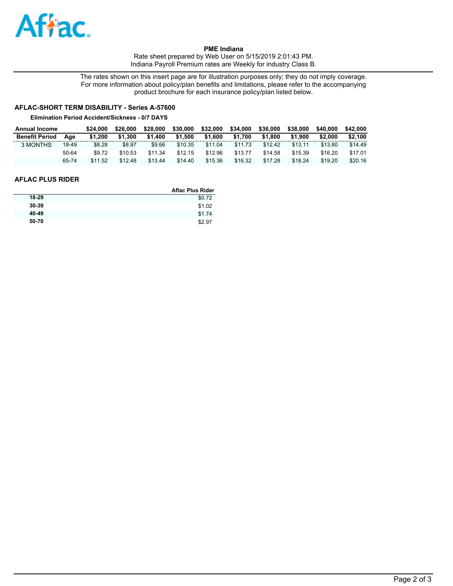

**PME Indiana**  Rate sheet prepared by Web User on 5/15/2019 2:01:43 PM. Indiana Payroll Premium rates are Weekly for industry Class B.

The rates shown on this insert page are for illustration purposes only; they do not imply coverage. For more information about policy/plan benefits and limitations, please refer to the accompanying product brochure for each insurance policy/plan listed below.

# **AFLAC-SHORT TERM DISABILITY - Series A-57600**

#### **Elimination Period Accident/Sickness - 0/7 DAYS**

| <b>Annual Income</b>  |       | \$24,000 | \$26,000 | \$28,000 | \$30,000 | \$32,000 | \$34,000 | \$36,000 | \$38,000 | \$40,000 | \$42,000 |
|-----------------------|-------|----------|----------|----------|----------|----------|----------|----------|----------|----------|----------|
| <b>Benefit Period</b> | Aae   | \$1.200  | \$1.300  | \$1.400  | \$1.500  | \$1,600  | \$1.700  | \$1.800  | \$1.900  | \$2.000  | \$2.100  |
| 3 MONTHS              | 18-49 | \$8.28   | \$8.97   | \$9.66   | \$10.35  | \$11.04  | \$11.73  | \$12.42  | \$13.11  | \$13.80  | \$14.49  |
|                       | 50-64 | \$9.72   | \$10.53  | \$11.34  | \$12.15  | \$12.96  | \$13.77  | \$14.58  | \$15.39  | \$16.20  | \$17.01  |
|                       | 65-74 | \$11.52  | \$12.48  | \$13.44  | \$14.40  | \$15.36  | \$16.32  | \$17.28  | \$18.24  | \$19.20  | \$20.16  |

## **AFLAC PLUS RIDER**

|       | <b>Aflac Plus Rider</b> |
|-------|-------------------------|
| 18-29 | \$0.72                  |
| 30-39 | \$1.02                  |
| 40-49 | \$1.74                  |
| 50-70 | \$2.97                  |